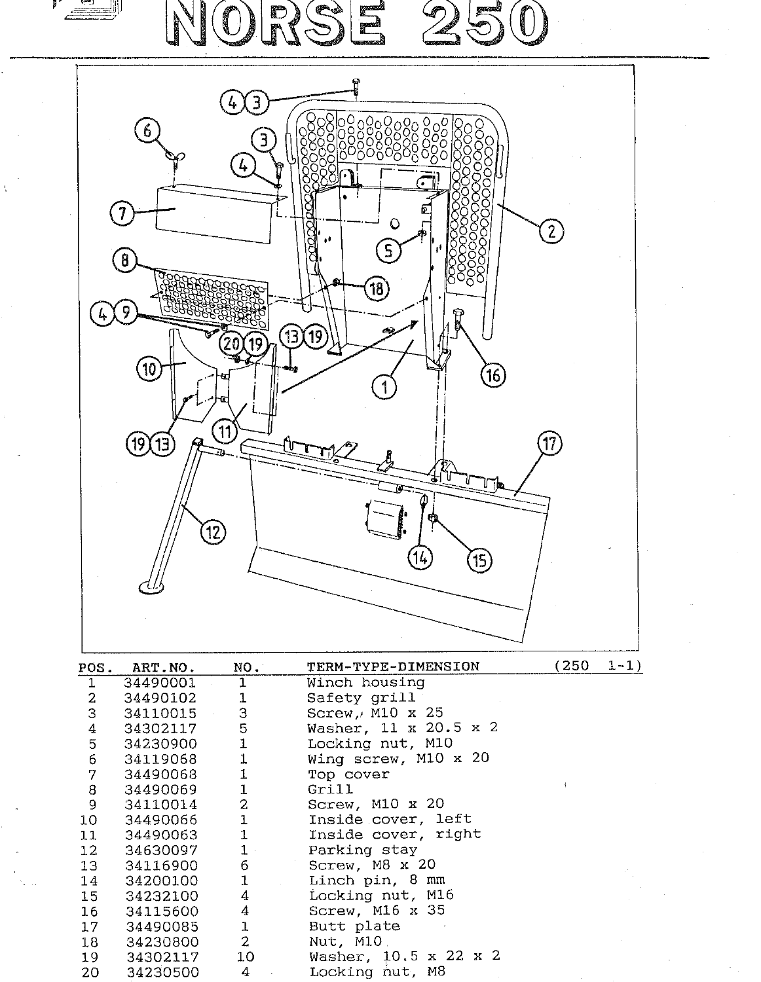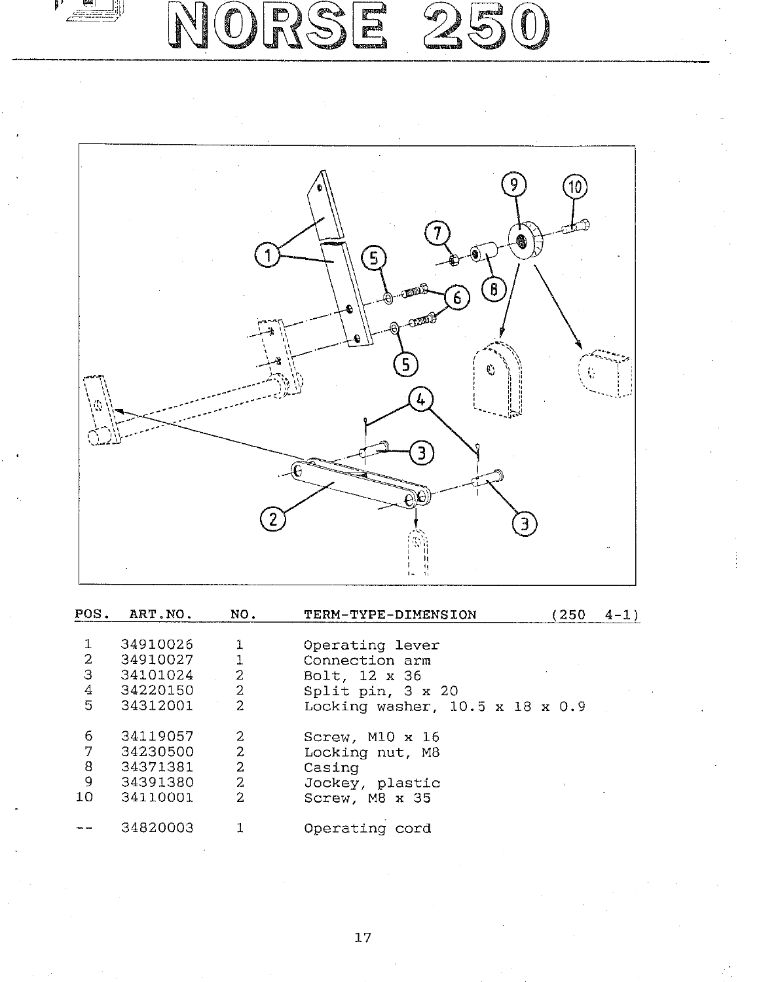

NORSE 250



| POS.           | ART.NO.  | NO.            | TERM-TYPE-DIMENSION                         | 250 | $4 - 1$ |
|----------------|----------|----------------|---------------------------------------------|-----|---------|
|                | 34910026 | 1              | Operating lever                             |     |         |
| $\mathbf{2}$   | 34910027 |                | Connection arm                              |     |         |
| З              | 34101024 | 2              | Bolt, 12 x 36                               |     |         |
| 4              | 34220150 | 2              | Split pin, 3 x 20                           |     |         |
| 5              | 34312001 | 2              | Locking washer, $10.5 \times 18 \times 0.9$ |     |         |
| 6              | 34119057 | 2              | Screw, M10 x 16                             |     |         |
| 7              | 34230500 | $\overline{2}$ | Locking nut, M8                             |     |         |
| 8              | 34371381 | 2              | Casing                                      |     |         |
| $\overline{9}$ | 34391380 | 2              | Jockey, plastic                             |     |         |
| 10             | 34110001 | 2              | Screw, M8 x 35                              |     |         |
|                | 34820003 |                | Operating cord                              |     |         |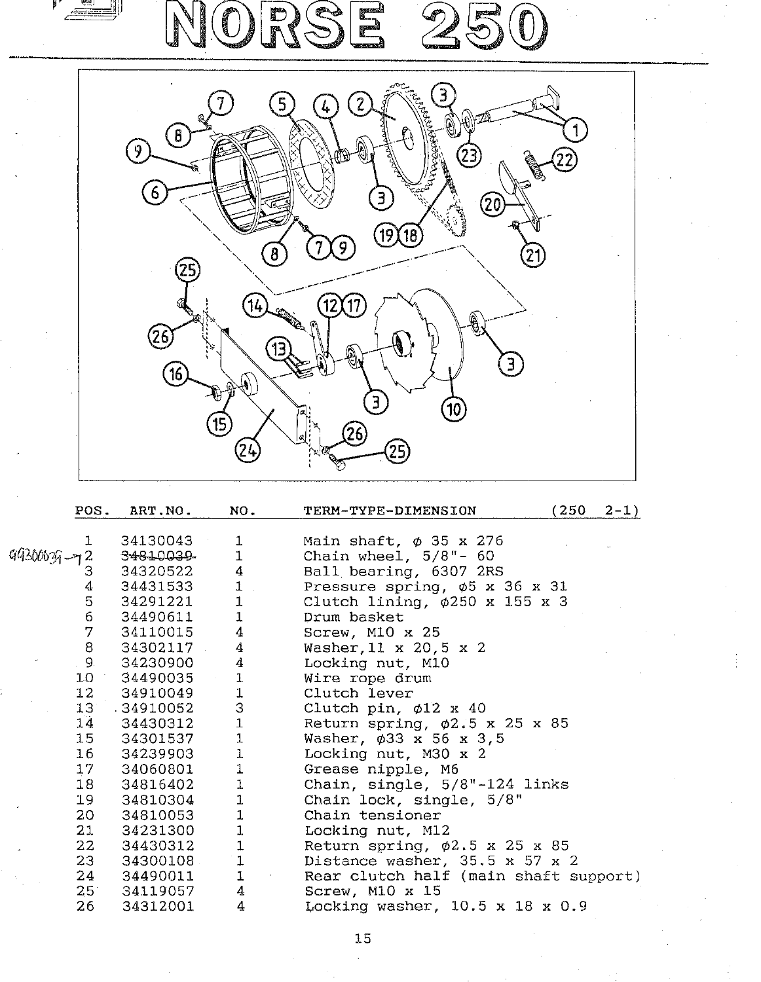| $2 - 1)$ |  |
|----------|--|
|          |  |
|          |  |

| 17              | 34060801 | $\mathbf{1}$   | Grease nipple, M6                           |
|-----------------|----------|----------------|---------------------------------------------|
| 18 <sup>7</sup> | 34816402 | $\mathbf{1}$   | Chain, single, 5/8"-124 links               |
| 19              | 34810304 | 1              | Chain lock, single, 5/8"                    |
| 20              | 34810053 | $\mathbf{1}$   | Chain tensioner                             |
| 21              | 34231300 | $\mathbf{1}$   | Locking nut, M12                            |
| 22              | 34430312 | $\overline{1}$ | Return spring, $\phi$ 2.5 x 25 x 85         |
| 23              | 34300108 | $\mathbf{1}$   | Distance washer, $35.5 \times 57 \times 2$  |
| 24              | 34490011 | $\mathbf{1}$   | Rear clutch half (main shaft support)       |
| $25^\circ$      | 34119057 | $\overline{4}$ | Screw, M10 x 15                             |
| 26              | 34312001 | $\overline{4}$ | Locking washer, $10.5 \times 18 \times 0.9$ |

**Locking nut, M30 <sup>x</sup> 2 Grease nipple, M6**

**34060801**